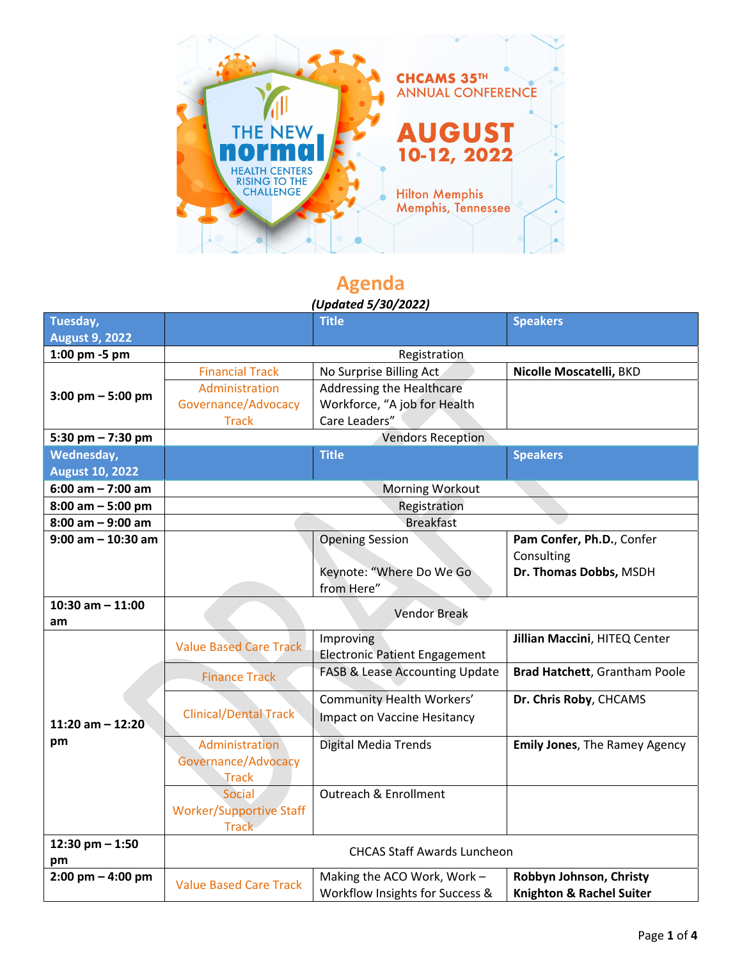

## **Agenda**

## *(Updated 5/30/2022)*

| Tuesday,                            |                                    | <b>Title</b>                              | <b>Speakers</b>                      |  |
|-------------------------------------|------------------------------------|-------------------------------------------|--------------------------------------|--|
| <b>August 9, 2022</b>               |                                    |                                           |                                      |  |
| 1:00 pm -5 pm                       |                                    | Registration                              |                                      |  |
|                                     | <b>Financial Track</b>             | No Surprise Billing Act                   | Nicolle Moscatelli, BKD              |  |
| $3:00 \text{ pm} - 5:00 \text{ pm}$ | Administration                     | Addressing the Healthcare                 |                                      |  |
|                                     | Governance/Advocacy                | Workforce, "A job for Health              |                                      |  |
|                                     | <b>Track</b>                       | Care Leaders"                             |                                      |  |
| 5:30 pm $- 7:30$ pm                 | <b>Vendors Reception</b>           |                                           |                                      |  |
| Wednesday,                          |                                    | <b>Title</b>                              | <b>Speakers</b>                      |  |
| <b>August 10, 2022</b>              |                                    |                                           |                                      |  |
| 6:00 am $- 7:00$ am                 | <b>Morning Workout</b>             |                                           |                                      |  |
| $8:00$ am $-5:00$ pm                | Registration                       |                                           |                                      |  |
| $8:00$ am $-9:00$ am                | <b>Breakfast</b>                   |                                           |                                      |  |
| $9:00$ am $-10:30$ am               |                                    | <b>Opening Session</b>                    | Pam Confer, Ph.D., Confer            |  |
|                                     |                                    |                                           | Consulting                           |  |
|                                     |                                    | Keynote: "Where Do We Go                  | Dr. Thomas Dobbs, MSDH               |  |
|                                     |                                    | from Here"                                |                                      |  |
| 10:30 am $-$ 11:00                  | <b>Vendor Break</b>                |                                           |                                      |  |
| am                                  |                                    |                                           |                                      |  |
|                                     | <b>Value Based Care Track</b>      | Improving                                 | Jillian Maccini, HITEQ Center        |  |
|                                     |                                    | <b>Electronic Patient Engagement</b>      |                                      |  |
|                                     | <b>Finance Track</b>               | <b>FASB &amp; Lease Accounting Update</b> | Brad Hatchett, Grantham Poole        |  |
|                                     |                                    | Community Health Workers'                 | Dr. Chris Roby, CHCAMS               |  |
| 11:20 am $-$ 12:20                  | <b>Clinical/Dental Track</b>       | <b>Impact on Vaccine Hesitancy</b>        |                                      |  |
|                                     |                                    |                                           |                                      |  |
| pm                                  | Administration                     | Digital Media Trends                      | <b>Emily Jones, The Ramey Agency</b> |  |
|                                     | Governance/Advocacy                |                                           |                                      |  |
|                                     | <b>Track</b>                       |                                           |                                      |  |
|                                     | Social                             | <b>Outreach &amp; Enrollment</b>          |                                      |  |
|                                     | <b>Worker/Supportive Staff</b>     |                                           |                                      |  |
|                                     | <b>Track</b>                       |                                           |                                      |  |
| 12:30 pm $- 1:50$                   | <b>CHCAS Staff Awards Luncheon</b> |                                           |                                      |  |
| pm                                  |                                    |                                           |                                      |  |
| $2:00$ pm $-$ 4:00 pm               | <b>Value Based Care Track</b>      | Making the ACO Work, Work-                | Robbyn Johnson, Christy              |  |
|                                     |                                    | Workflow Insights for Success &           | <b>Knighton &amp; Rachel Suiter</b>  |  |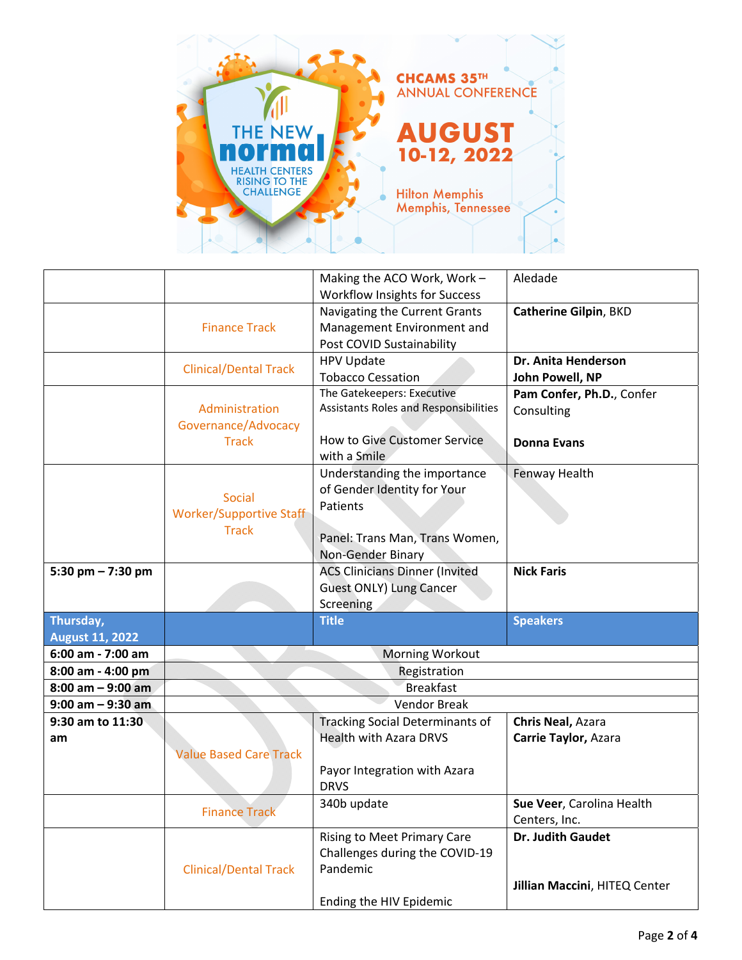

|                        |                                | Making the ACO Work, Work -            | Aledade                       |
|------------------------|--------------------------------|----------------------------------------|-------------------------------|
|                        |                                | <b>Workflow Insights for Success</b>   |                               |
|                        |                                | Navigating the Current Grants          | Catherine Gilpin, BKD         |
|                        | <b>Finance Track</b>           | Management Environment and             |                               |
|                        |                                | Post COVID Sustainability              |                               |
|                        |                                | <b>HPV Update</b>                      | Dr. Anita Henderson           |
|                        | <b>Clinical/Dental Track</b>   | <b>Tobacco Cessation</b>               | John Powell, NP               |
|                        |                                | The Gatekeepers: Executive             | Pam Confer, Ph.D., Confer     |
|                        | Administration                 | Assistants Roles and Responsibilities  | Consulting                    |
|                        | Governance/Advocacy            |                                        |                               |
|                        | <b>Track</b>                   | <b>How to Give Customer Service</b>    | <b>Donna Evans</b>            |
|                        |                                | with a Smile                           |                               |
|                        |                                | Understanding the importance           | Fenway Health                 |
|                        | Social                         | of Gender Identity for Your            |                               |
|                        | <b>Worker/Supportive Staff</b> | Patients                               |                               |
|                        | <b>Track</b>                   |                                        |                               |
|                        |                                | Panel: Trans Man, Trans Women,         |                               |
|                        |                                | Non-Gender Binary                      |                               |
| 5:30 pm $- 7:30$ pm    |                                | <b>ACS Clinicians Dinner (Invited</b>  | <b>Nick Faris</b>             |
|                        |                                | <b>Guest ONLY) Lung Cancer</b>         |                               |
|                        |                                | Screening                              |                               |
| Thursday,              |                                | <b>Title</b>                           | <b>Speakers</b>               |
| <b>August 11, 2022</b> |                                |                                        |                               |
| 6:00 am - 7:00 am      | Morning Workout                |                                        |                               |
| 8:00 am - 4:00 pm      | Registration                   |                                        |                               |
| $8:00$ am $-9:00$ am   | <b>Breakfast</b>               |                                        |                               |
| $9:00$ am $-9:30$ am   | Vendor Break                   |                                        |                               |
| 9:30 am to 11:30       |                                | <b>Tracking Social Determinants of</b> | Chris Neal, Azara             |
| am                     |                                | <b>Health with Azara DRVS</b>          | Carrie Taylor, Azara          |
|                        | <b>Value Based Care Track</b>  |                                        |                               |
|                        |                                | Payor Integration with Azara           |                               |
|                        |                                | <b>DRVS</b>                            |                               |
|                        | <b>Finance Track</b>           | 340b update                            | Sue Veer, Carolina Health     |
|                        |                                |                                        | Centers, Inc.                 |
|                        |                                | Rising to Meet Primary Care            | Dr. Judith Gaudet             |
|                        |                                | Challenges during the COVID-19         |                               |
|                        | <b>Clinical/Dental Track</b>   | Pandemic                               |                               |
|                        |                                |                                        |                               |
|                        |                                | Ending the HIV Epidemic                | Jillian Maccini, HITEQ Center |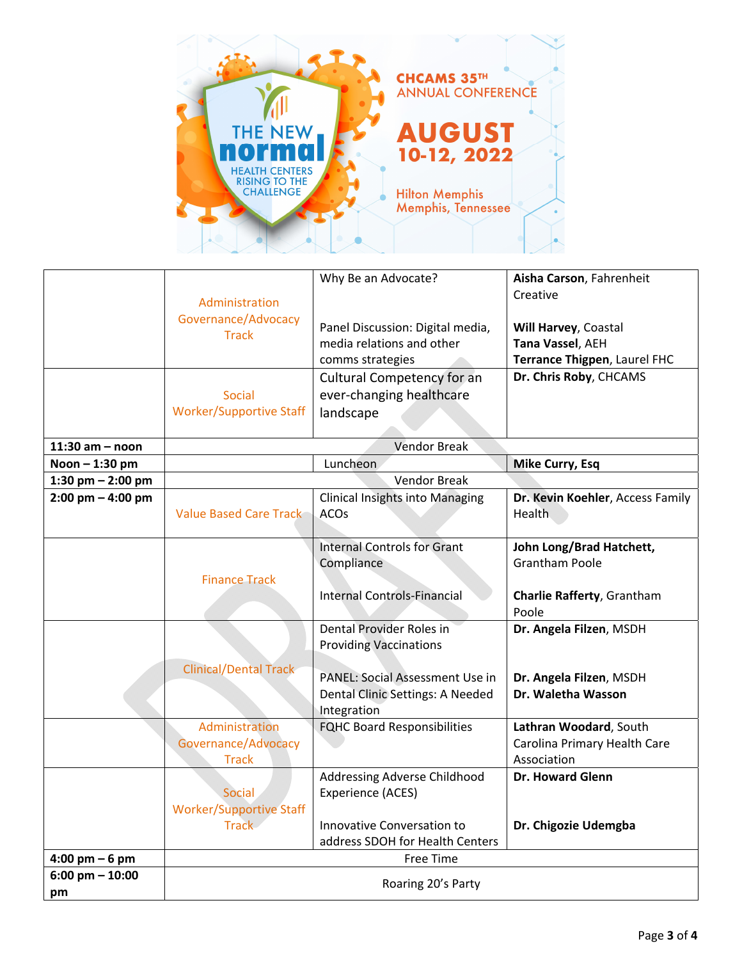

|                                  |                                     | Why Be an Advocate?                    | Aisha Carson, Fahrenheit                          |
|----------------------------------|-------------------------------------|----------------------------------------|---------------------------------------------------|
|                                  | Administration                      |                                        | Creative                                          |
|                                  | Governance/Advocacy                 | Panel Discussion: Digital media,       | Will Harvey, Coastal                              |
|                                  | <b>Track</b>                        | media relations and other              | Tana Vassel, AEH                                  |
|                                  |                                     | comms strategies                       | Terrance Thigpen, Laurel FHC                      |
|                                  |                                     | Cultural Competency for an             | Dr. Chris Roby, CHCAMS                            |
|                                  | Social                              | ever-changing healthcare               |                                                   |
|                                  | <b>Worker/Supportive Staff</b>      | landscape                              |                                                   |
|                                  |                                     |                                        |                                                   |
| $11:30$ am - noon                | <b>Vendor Break</b>                 |                                        |                                                   |
| Noon - 1:30 pm                   |                                     | Luncheon                               | <b>Mike Curry, Esq</b>                            |
| 1:30 pm $-$ 2:00 pm              |                                     | <b>Vendor Break</b>                    |                                                   |
| $2:00$ pm $-4:00$ pm             |                                     | <b>Clinical Insights into Managing</b> | Dr. Kevin Koehler, Access Family                  |
|                                  | Value Based Care Track              | ACOs                                   | <b>Health</b>                                     |
|                                  |                                     |                                        |                                                   |
|                                  |                                     | <b>Internal Controls for Grant</b>     | John Long/Brad Hatchett,<br><b>Grantham Poole</b> |
|                                  | <b>Finance Track</b>                | Compliance                             |                                                   |
|                                  |                                     | <b>Internal Controls-Financial</b>     | Charlie Rafferty, Grantham                        |
|                                  |                                     |                                        | Poole                                             |
|                                  |                                     | Dental Provider Roles in               | Dr. Angela Filzen, MSDH                           |
|                                  |                                     | <b>Providing Vaccinations</b>          |                                                   |
|                                  | <b>Clinical/Dental Track</b>        |                                        |                                                   |
|                                  |                                     | PANEL: Social Assessment Use in        | Dr. Angela Filzen, MSDH                           |
|                                  |                                     | Dental Clinic Settings: A Needed       | Dr. Waletha Wasson                                |
|                                  |                                     | Integration                            |                                                   |
|                                  | Administration                      | <b>FQHC Board Responsibilities</b>     | Lathran Woodard, South                            |
|                                  | Governance/Advocacy<br><b>Track</b> |                                        | Carolina Primary Health Care<br>Association       |
|                                  |                                     | Addressing Adverse Childhood           | Dr. Howard Glenn                                  |
|                                  | <b>Social</b>                       | Experience (ACES)                      |                                                   |
|                                  | <b>Worker/Supportive Staff</b>      |                                        |                                                   |
|                                  | <b>Track</b>                        | Innovative Conversation to             | Dr. Chigozie Udemgba                              |
|                                  |                                     | address SDOH for Health Centers        |                                                   |
| $4:00 \text{ pm} - 6 \text{ pm}$ | Free Time                           |                                        |                                                   |
| $6:00$ pm $- 10:00$              | Roaring 20's Party                  |                                        |                                                   |
| pm                               |                                     |                                        |                                                   |